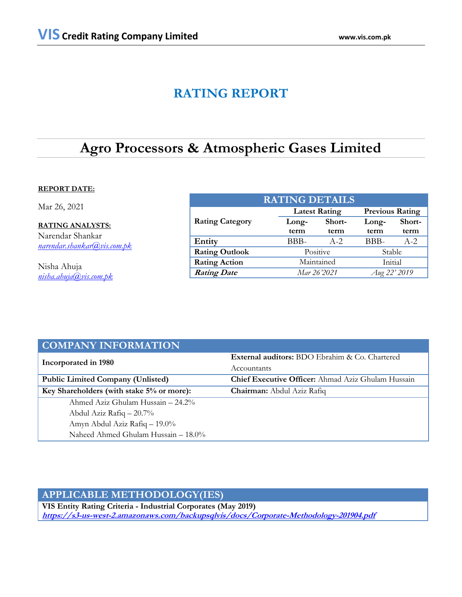# **RATING REPORT**

# **Agro Processors & Atmospheric Gases Limited**

# **REPORT DATE:**

Mar 26, 2021

**RATING ANALYSTS:** Narendar Shankar *[narendar.shankar@vis.com.pk](mailto:narendar.shankar@vis.com.pk)*

Nisha Ahuja *[nisha.ahuja@vis.com.pk](mailto:nisha.ahuja@vis.com.pk)*

| <b>RATING DETAILS</b>  |                      |        |                        |         |  |  |  |  |
|------------------------|----------------------|--------|------------------------|---------|--|--|--|--|
|                        | <b>Latest Rating</b> |        | <b>Previous Rating</b> |         |  |  |  |  |
| <b>Rating Category</b> | Long-                | Short- | Long-                  | Short-  |  |  |  |  |
|                        | term                 | term   | term                   | term    |  |  |  |  |
| Entity                 | BBB-                 | $A-2$  | BBB-                   | $A - 2$ |  |  |  |  |
| <b>Rating Outlook</b>  | Positive             |        | Stable                 |         |  |  |  |  |
| <b>Rating Action</b>   | Maintained           |        | Initial                |         |  |  |  |  |
| <b>Rating Date</b>     | Mar 26'2021          |        | Aug 22' 2019           |         |  |  |  |  |

| <b>COMPANY INFORMATION</b>                |                                                           |  |  |
|-------------------------------------------|-----------------------------------------------------------|--|--|
| Incorporated in 1980                      | <b>External auditors:</b> BDO Ebrahim & Co. Chartered     |  |  |
|                                           | Accountants                                               |  |  |
| <b>Public Limited Company (Unlisted)</b>  | <b>Chief Executive Officer:</b> Ahmad Aziz Ghulam Hussain |  |  |
| Key Shareholders (with stake 5% or more): | <b>Chairman:</b> Abdul Aziz Rafiq                         |  |  |
| Ahmed Aziz Ghulam Hussain – 24.2%         |                                                           |  |  |
| Abdul Aziz Rafiq $-20.7\%$                |                                                           |  |  |
| Amyn Abdul Aziz Rafiq - 19.0%             |                                                           |  |  |
| Naheed Ahmed Ghulam Hussain - 18.0%       |                                                           |  |  |

# **APPLICABLE METHODOLOGY(IES)**

**VIS Entity Rating Criteria - Industrial Corporates (May 2019) <https://s3-us-west-2.amazonaws.com/backupsqlvis/docs/Corporate-Methodology-201904.pdf>**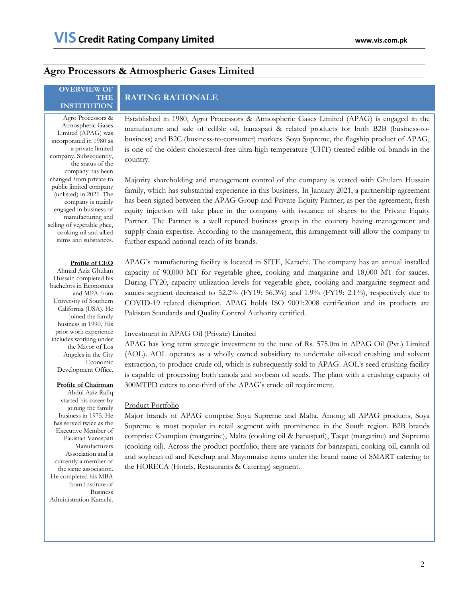# **Agro Processors & Atmospheric Gases Limited**

### **OVERVIEW OF THE INSTITUTION**

# **RATING RATIONALE**

Agro Processors & Atmospheric Gases Limited (APAG) was incorporated in 1980 as a private limited company. Subsequently, the status of the company has been changed from private to public limited company (unlisted) in 2021. The company is mainly engaged in business of manufacturing and selling of vegetable ghee, cooking oil and allied items and substances.

#### **Profile of CEO**

Ahmad Aziz Ghulam Hussain completed his bachelors in Economics and MPA from University of Southern California (USA). He joined the family business in 1990. His prior work experience includes working under the Mayor of Los Angeles in the City Economic Development Office.

**Profile of Chairman** Abdul Aziz Rafiq started his career by

joining the family business in 1975. He has served twice as the Executive Member of Pakistan Vanaspati Manufacturers Association and is currently a member of the same association. He completed his MBA from Institute of Business Administration Karachi.

Established in 1980, Agro Processors & Atmospheric Gases Limited (APAG) is engaged in the manufacture and sale of edible oil, banaspati & related products for both B2B (business-tobusiness) and B2C (business-to-consumer) markets. Soya Supreme, the flagship product of APAG, is one of the oldest cholesterol-free ultra-high temperature (UHT) treated edible oil brands in the country.

Majority shareholding and management control of the company is vested with Ghulam Hussain family, which has substantial experience in this business. In January 2021, a partnership agreement has been signed between the APAG Group and Private Equity Partner; as per the agreement, fresh equity injection will take place in the company with issuance of shares to the Private Equity Partner. The Partner is a well reputed business group in the country having management and supply chain expertise. According to the management, this arrangement will allow the company to further expand national reach of its brands.

APAG's manufacturing facility is located in SITE, Karachi. The company has an annual installed capacity of 90,000 MT for vegetable ghee, cooking and margarine and 18,000 MT for sauces. During FY20, capacity utilization levels for vegetable ghee, cooking and margarine segment and sauces segment decreased to 52.2% (FY19: 56.3%) and 1.9% (FY19: 2.1%), respectively due to COVID-19 related disruption. APAG holds ISO 9001:2008 certification and its products are Pakistan Standards and Quality Control Authority certified.

### Investment in APAG Oil (Private) Limited

APAG has long term strategic investment to the tune of Rs. 575.0m in APAG Oil (Pvt.) Limited (AOL). AOL operates as a wholly owned subsidiary to undertake oil-seed crushing and solvent extraction, to produce crude oil, which is subsequently sold to APAG. AOL's seed crushing facility is capable of processing both canola and soybean oil seeds. The plant with a crushing capacity of 300MTPD caters to one-third of the APAG's crude oil requirement.

### Product Portfolio

Major brands of APAG comprise Soya Supreme and Malta. Among all APAG products, Soya Supreme is most popular in retail segment with prominence in the South region. B2B brands comprise Champion (margarine), Malta (cooking oil & banaspati), Taqat (margarine) and Supremo (cooking oil). Across the product portfolio, there are variants for banaspati, cooking oil, canola oil and soybean oil and Ketchup and Mayonnaise items under the brand name of SMART catering to the HORECA (Hotels, Restaurants & Catering) segment.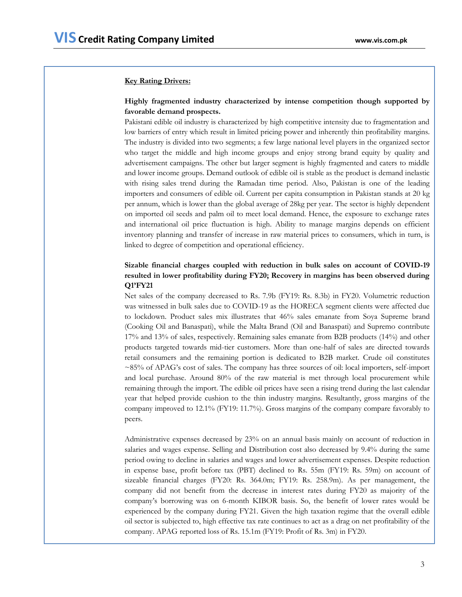### **Key Rating Drivers:**

## **Highly fragmented industry characterized by intense competition though supported by favorable demand prospects.**

Pakistani edible oil industry is characterized by high competitive intensity due to fragmentation and low barriers of entry which result in limited pricing power and inherently thin profitability margins. The industry is divided into two segments; a few large national level players in the organized sector who target the middle and high income groups and enjoy strong brand equity by quality and advertisement campaigns. The other but larger segment is highly fragmented and caters to middle and lower income groups. Demand outlook of edible oil is stable as the product is demand inelastic with rising sales trend during the Ramadan time period. Also, Pakistan is one of the leading importers and consumers of edible oil. Current per capita consumption in Pakistan stands at 20 kg per annum, which is lower than the global average of 28kg per year. The sector is highly dependent on imported oil seeds and palm oil to meet local demand. Hence, the exposure to exchange rates and international oil price fluctuation is high. Ability to manage margins depends on efficient inventory planning and transfer of increase in raw material prices to consumers, which in turn, is linked to degree of competition and operational efficiency.

# **Sizable financial charges coupled with reduction in bulk sales on account of COVID-19 resulted in lower profitability during FY20; Recovery in margins has been observed during Q1'FY21**

Net sales of the company decreased to Rs. 7.9b (FY19: Rs. 8.3b) in FY20. Volumetric reduction was witnessed in bulk sales due to COVID-19 as the HORECA segment clients were affected due to lockdown. Product sales mix illustrates that 46% sales emanate from Soya Supreme brand (Cooking Oil and Banaspati), while the Malta Brand (Oil and Banaspati) and Supremo contribute 17% and 13% of sales, respectively. Remaining sales emanate from B2B products (14%) and other products targeted towards mid-tier customers. More than one-half of sales are directed towards retail consumers and the remaining portion is dedicated to B2B market. Crude oil constitutes  $\sim$ 85% of APAG's cost of sales. The company has three sources of oil: local importers, self-import and local purchase. Around 80% of the raw material is met through local procurement while remaining through the import. The edible oil prices have seen a rising trend during the last calendar year that helped provide cushion to the thin industry margins. Resultantly, gross margins of the company improved to 12.1% (FY19: 11.7%). Gross margins of the company compare favorably to peers.

Administrative expenses decreased by 23% on an annual basis mainly on account of reduction in salaries and wages expense. Selling and Distribution cost also decreased by 9.4% during the same period owing to decline in salaries and wages and lower advertisement expenses. Despite reduction in expense base, profit before tax (PBT) declined to Rs. 55m (FY19: Rs. 59m) on account of sizeable financial charges (FY20: Rs. 364.0m; FY19: Rs. 258.9m). As per management, the company did not benefit from the decrease in interest rates during FY20 as majority of the company's borrowing was on 6-month KIBOR basis. So, the benefit of lower rates would be experienced by the company during FY21. Given the high taxation regime that the overall edible oil sector is subjected to, high effective tax rate continues to act as a drag on net profitability of the company. APAG reported loss of Rs. 15.1m (FY19: Profit of Rs. 3m) in FY20.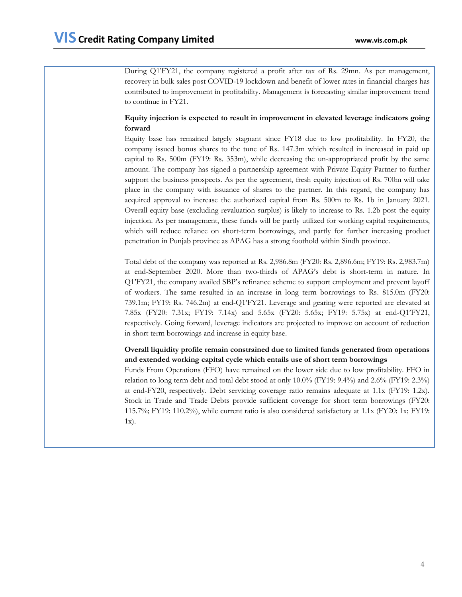During Q1'FY21, the company registered a profit after tax of Rs. 29mn. As per management, recovery in bulk sales post COVID-19 lockdown and benefit of lower rates in financial charges has contributed to improvement in profitability. Management is forecasting similar improvement trend to continue in FY21.

# **Equity injection is expected to result in improvement in elevated leverage indicators going forward**

Equity base has remained largely stagnant since FY18 due to low profitability. In FY20, the company issued bonus shares to the tune of Rs. 147.3m which resulted in increased in paid up capital to Rs. 500m (FY19: Rs. 353m), while decreasing the un-appropriated profit by the same amount. The company has signed a partnership agreement with Private Equity Partner to further support the business prospects. As per the agreement, fresh equity injection of Rs. 700m will take place in the company with issuance of shares to the partner. In this regard, the company has acquired approval to increase the authorized capital from Rs. 500m to Rs. 1b in January 2021. Overall equity base (excluding revaluation surplus) is likely to increase to Rs. 1.2b post the equity injection. As per management, these funds will be partly utilized for working capital requirements, which will reduce reliance on short-term borrowings, and partly for further increasing product penetration in Punjab province as APAG has a strong foothold within Sindh province.

Total debt of the company was reported at Rs. 2,986.8m (FY20: Rs. 2,896.6m; FY19: Rs. 2,983.7m) at end-September 2020. More than two-thirds of APAG's debt is short-term in nature. In Q1'FY21, the company availed SBP's refinance scheme to support employment and prevent layoff of workers. The same resulted in an increase in long term borrowings to Rs. 815.0m (FY20: 739.1m; FY19: Rs. 746.2m) at end-Q1'FY21. Leverage and gearing were reported are elevated at 7.85x (FY20: 7.31x; FY19: 7.14x) and 5.65x (FY20: 5.65x; FY19: 5.75x) at end-Q1'FY21, respectively. Going forward, leverage indicators are projected to improve on account of reduction in short term borrowings and increase in equity base.

# **Overall liquidity profile remain constrained due to limited funds generated from operations and extended working capital cycle which entails use of short term borrowings**

Funds From Operations (FFO) have remained on the lower side due to low profitability. FFO in relation to long term debt and total debt stood at only 10.0% (FY19: 9.4%) and 2.6% (FY19: 2.3%) at end-FY20, respectively. Debt servicing coverage ratio remains adequate at 1.1x (FY19: 1.2x). Stock in Trade and Trade Debts provide sufficient coverage for short term borrowings (FY20: 115.7%; FY19: 110.2%), while current ratio is also considered satisfactory at 1.1x (FY20: 1x; FY19: 1x).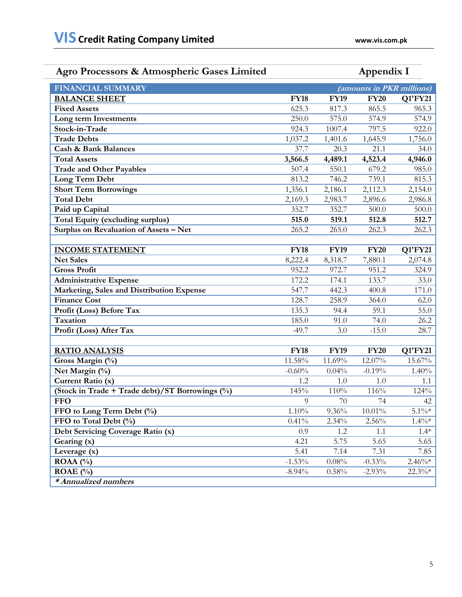# **Agro Processors & Atmospheric Gases Limited Appendix I**

| <b>FINANCIAL SUMMARY</b>                        |                | (amounts in PKR millions) |             |                |
|-------------------------------------------------|----------------|---------------------------|-------------|----------------|
| <b>BALANCE SHEET</b>                            | <b>FY18</b>    | <b>FY19</b>               | <b>FY20</b> | <b>Q1'FY21</b> |
| <b>Fixed Assets</b>                             | 625.3          | 817.3                     | 865.5       | 965.3          |
| Long term Investments                           | 250.0          | 575.0                     | 574.9       | 574.9          |
| Stock-in-Trade                                  | 924.3          | 1007.4                    | 797.5       | 922.0          |
| <b>Trade Debts</b>                              | 1,037.2        | 1,401.6                   | 1,645.9     | 1,756.0        |
| <b>Cash &amp; Bank Balances</b>                 | 37.7           | 20.3                      | 21.1        | 34.0           |
| <b>Total Assets</b>                             | 3,566.5        | 4,489.1                   | 4,523.4     | 4,946.0        |
| <b>Trade and Other Payables</b>                 | 507.4          | 550.1                     | 679.2       | 985.0          |
| Long Term Debt                                  | 813.2          | 746.2                     | 739.1       | 815.3          |
| <b>Short Term Borrowings</b>                    | 1,356.1        | 2,186.1                   | 2,112.3     | 2,154.0        |
| <b>Total Debt</b>                               | 2,169.3        | 2,983.7                   | 2,896.6     | 2,986.8        |
| Paid up Capital                                 | 352.7          | 352.7                     | 500.0       | 500.0          |
| <b>Total Equity (excluding surplus)</b>         | 515.0          | 519.1                     | 512.8       | 512.7          |
| Surplus on Revaluation of Assets - Net          | 265.2          | 265.0                     | 262.3       | 262.3          |
|                                                 |                |                           |             |                |
| <b>INCOME STATEMENT</b>                         | <b>FY18</b>    | <b>FY19</b>               | <b>FY20</b> | Q1'FY21        |
| <b>Net Sales</b>                                | 8,222.4        | 8,318.7                   | 7,880.1     | 2,074.8        |
| <b>Gross Profit</b>                             | 952.2          | 972.7                     | 951.2       | 324.9          |
| <b>Administrative Expense</b>                   | 172.2          | 174.1                     | 133.7       | 33.0           |
| Marketing, Sales and Distribution Expense       | 547.7          | 442.3                     | 400.8       | 171.0          |
| <b>Finance Cost</b>                             | 128.7          | 258.9                     | 364.0       | 62.0           |
| Profit (Loss) Before Tax                        | 135.3          | 94.4                      | 59.1        | 55.0           |
| Taxation                                        | 185.0          | 91.0                      | 74.0        | 26.2           |
| Profit (Loss) After Tax                         | $-49.7$        | 3.0                       | $-15.0$     | 28.7           |
|                                                 |                |                           |             |                |
| <b>RATIO ANALYSIS</b>                           | <b>FY18</b>    | <b>FY19</b>               | <b>FY20</b> | <b>Q1'FY21</b> |
| Gross Margin (%)                                | 11.58%         | 11.69%                    | 12.07%      | 15.67%         |
| Net Margin (%)                                  | $-0.60%$       | 0.04%                     | $-0.19%$    | $1.40\%$       |
| Current Ratio (x)                               | 1.2            | 1.0                       | 1.0         | 1.1            |
| (Stock in Trade + Trade debt)/ST Borrowings (%) | 145%           | 110%                      | 116%        | 124%           |
| <b>FFO</b>                                      | $\overline{Q}$ | 70                        | 74          | 42             |
| FFO to Long Term Debt (%)                       | 1.10%          | 9.36%                     | $10.01\%$   | $5.1\%*$       |
| FFO to Total Debt (%)                           | 0.41%          | 2.34%                     | 2.56%       | $1.4\%*$       |
| Debt Servicing Coverage Ratio (x)               | 0.9            | 1.2                       | 1.1         | $1.4*$         |
| Gearing (x)                                     | 4.21           | 5.75                      | 5.65        | 5.65           |
| Leverage (x)                                    | 5.41           | 7.14                      | 7.31        | 7.85           |
| $ROAA(^{0}/_{0})$                               | $-1.53%$       | 0.08%                     | $-0.33%$    | $2.46\%*$      |
| ROAE $(\% )$                                    | $-8.94%$       | 0.58%                     | $-2.93%$    | $22.3\%*$      |
| * Annualized numbers                            |                |                           |             |                |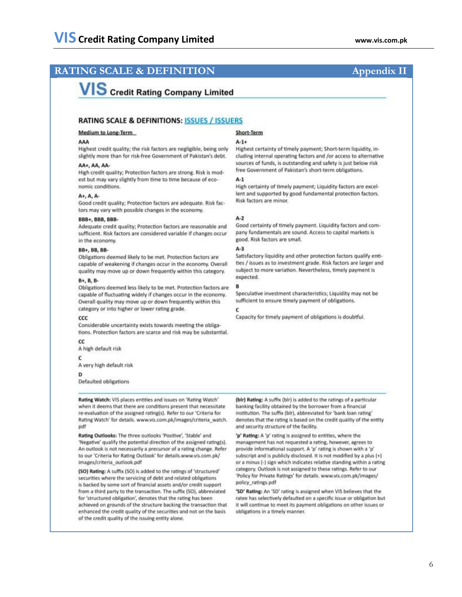# **RATING SCALE & DEFINITION** Appendix II

# **VIS** Credit Rating Company Limited

### **RATING SCALE & DEFINITIONS: ISSUES / ISSUERS**

#### Medium to Long-Term

#### AAA

Highest credit quality; the risk factors are negligible, being only slightly more than for risk-free Government of Pakistan's debt.

#### AA+, AA, AA-

High credit quality; Protection factors are strong. Risk is modest but may vary slightly from time to time because of economic conditions.

#### A+, A, A-

Good credit quality; Protection factors are adequate. Risk factors may vary with possible changes in the economy.

#### BBB+, BBB, BBB-

Adequate credit quality; Protection factors are reasonable and sufficient. Risk factors are considered variable if changes occur in the economy.

#### **BB+, BB, BB-**

Obligations deemed likely to be met. Protection factors are capable of weakening if changes occur in the economy. Overall quality may move up or down frequently within this category.

#### B+, B, B-

Obligations deemed less likely to be met. Protection factors are capable of fluctuating widely if changes occur in the economy. Overall quality may move up or down frequently within this category or into higher or lower rating grade.

#### $ccc$

Considerable uncertainty exists towards meeting the obligations. Protection factors are scarce and risk may be substantial.

#### cc

A high default risk

#### c

A very high default risk

#### D

Defaulted obligations

Rating Watch: VIS places entities and issues on 'Rating Watch' when it deems that there are conditions present that necessitate re-evaluation of the assigned rating(s). Refer to our 'Criteria for Rating Watch' for details. www.vis.com.pk/images/criteria\_watch. pdf

Rating Outlooks: The three outlooks 'Positive', 'Stable' and 'Negative' qualify the potential direction of the assigned rating(s). An outlook is not necessarily a precursor of a rating change. Refer to our 'Criteria for Rating Outlook' for details.www.vis.com.pk/ images/criteria\_outlook.pdf

(SO) Rating: A suffix (SO) is added to the ratings of 'structured' securities where the servicing of debt and related obligations is backed by some sort of financial assets and/or credit support from a third party to the transaction. The suffix (SO), abbreviated for 'structured obligation', denotes that the rating has been achieved on grounds of the structure backing the transaction that enhanced the credit quality of the securities and not on the basis of the credit quality of the issuing entity alone.

#### **Short-Term**

#### $A-1+$

Highest certainty of timely payment; Short-term liquidity, including internal operating factors and /or access to alternative sources of funds, is outstanding and safety is just below risk free Government of Pakistan's short-term obligations.

#### $A-1$

High certainty of timely payment; Liquidity factors are excellent and supported by good fundamental protection factors. Risk factors are minor.

#### $A-2$

Good certainty of timely payment. Liquidity factors and company fundamentals are sound. Access to capital markets is good. Risk factors are small.

#### $A-3$

Satisfactory liquidity and other protection factors qualify entities / issues as to investment grade. Risk factors are larger and subject to more variation. Nevertheless, timely payment is expected.

Speculative investment characteristics; Liquidity may not be sufficient to ensure timely payment of obligations.

# Capacity for timely payment of obligations is doubtful.

(bir) Rating: A suffix (bir) is added to the ratings of a particular banking facility obtained by the borrower from a financial institution. The suffix (bir), abbreviated for 'bank loan rating' denotes that the rating is based on the credit quality of the entity and security structure of the facility.

'p' Rating: A 'p' rating is assigned to entities, where the management has not requested a rating, however, agrees to provide informational support. A 'p' rating is shown with a 'p' subscript and is publicly disclosed. It is not modified by a plus (+) or a minus (-) sign which indicates relative standing within a rating category. Outlook is not assigned to these ratings. Refer to our 'Policy for Private Ratings' for details. www.vis.com.pk/images/ policy\_ratings.pdf

'SD' Rating: An 'SD' rating is assigned when VIS believes that the ratee has selectively defaulted on a specific issue or obligation but it will continue to meet its payment obligations on other issues or obligations in a timely manner.